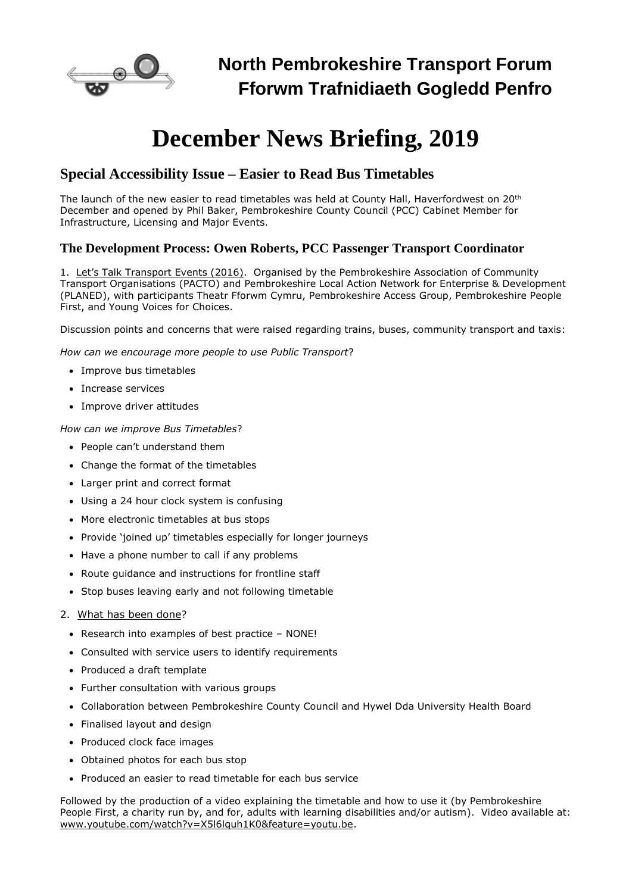

# **December News Briefing, 2019**

### **Special Accessibility Issue – Easier to Read Bus Timetables**

The launch of the new easier to read timetables was held at County Hall, Haverfordwest on 20<sup>th</sup> December and opened by Phil Baker, Pembrokeshire County Council (PCC) Cabinet Member for Infrastructure, Licensing and Major Events.

### **The Development Process: Owen Roberts, PCC Passenger Transport Coordinator**

1. Let's Talk Transport Events (2016). Organised by the Pembrokeshire Association of Community Transport Organisations (PACTO) and Pembrokeshire Local Action Network for Enterprise & Development (PLANED), with participants Theatr Fforwm Cymru, Pembrokeshire Access Group, Pembrokeshire People First, and Young Voices for Choices.

Discussion points and concerns that were raised regarding trains, buses, community transport and taxis:

*How can we encourage more people to use Public Transport*?

- Improve bus timetables
- Increase services
- Improve driver attitudes

*How can we improve Bus Timetables*?

- People can't understand them
- Change the format of the timetables
- Larger print and correct format
- Using a 24 hour clock system is confusing
- More electronic timetables at bus stops
- Provide 'joined up' timetables especially for longer journeys
- Have a phone number to call if any problems
- Route guidance and instructions for frontline staff
- Stop buses leaving early and not following timetable
- 2. What has been done?
	- Research into examples of best practice NONE!
	- Consulted with service users to identify requirements
	- Produced a draft template
	- Further consultation with various groups
	- Collaboration between Pembrokeshire County Council and Hywel Dda University Health Board
	- Finalised layout and design
	- Produced clock face images
	- Obtained photos for each bus stop
	- Produced an easier to read timetable for each bus service

Followed by the production of a video explaining the timetable and how to use it (by Pembrokeshire People First, a charity run by, and for, adults with learning disabilities and/or autism). Video available at: [www.youtube.com/watch?v=X5l6lquh1K0&feature=youtu.be.](https://www.youtube.com/watch?v=X5l6lquh1K0&feature=youtu.be)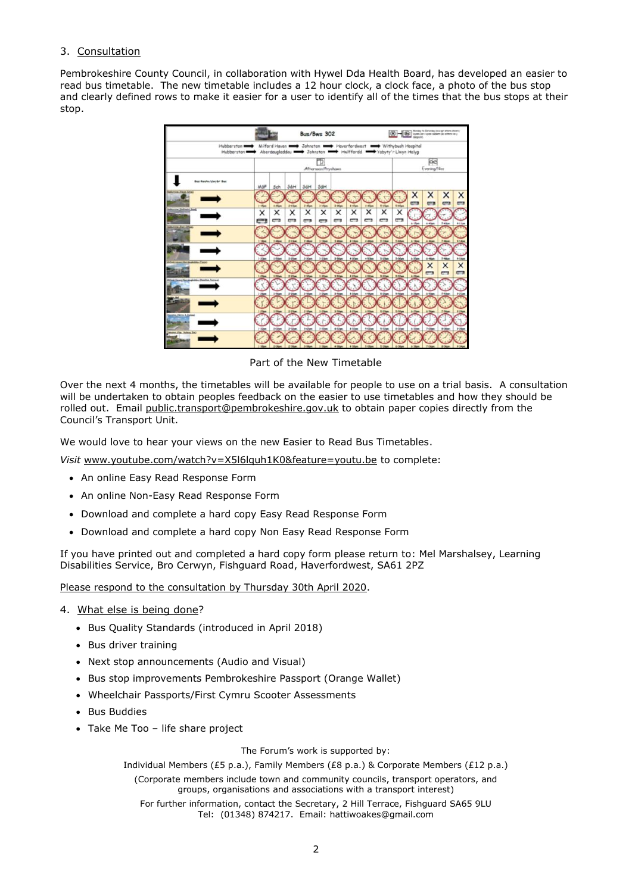#### 3. Consultation

Pembrokeshire County Council, in collaboration with Hywel Dda Health Board, has developed an easier to read bus timetable. The new timetable includes a 12 hour clock, a clock face, a photo of the bus stop and clearly defined rows to make it easier for a user to identify all of the times that the bus stops at their stop.



Part of the New Timetable

Over the next 4 months, the timetables will be available for people to use on a trial basis. A consultation will be undertaken to obtain peoples feedback on the easier to use timetables and how they should be rolled out. Email [public.transport@pembrokeshire.gov.uk](mailto:public.transport@pembrokeshire.gov.uk) to obtain paper copies directly from the Council's Transport Unit.

We would love to hear your views on the new Easier to Read Bus Timetables.

*Visit* [www.youtube.com/watch?v=X5l6lquh1K0&feature=youtu.be](https://www.youtube.com/watch?v=X5l6lquh1K0&feature=youtu.be) to complete:

- An online [Easy Read Response Form](https://www.snapsurveys.com/wh/s.asp?k=157166129353)
- An online [Non-Easy Read Response Form](https://www.snapsurveys.com/wh/s.asp?k=157175146960)
- Download and complete a hard copy [Easy Read Response Form](https://www.pembrokeshire.gov.uk/objview.asp?object_id=7538&language=)
- Download and complete a hard copy [Non Easy Read Response Form](https://www.pembrokeshire.gov.uk/objview.asp?object_id=7539&language=)

If you have printed out and completed a hard copy form please return to: Mel Marshalsey, Learning Disabilities Service, Bro Cerwyn, Fishguard Road, Haverfordwest, SA61 2PZ

Please respond to the consultation by Thursday 30th April 2020.

- 4. What else is being done?
	- Bus Quality Standards (introduced in April 2018)
	- Bus driver training
	- Next stop announcements (Audio and Visual)
	- Bus stop improvements Pembrokeshire Passport (Orange Wallet)
	- Wheelchair Passports/First Cymru Scooter Assessments
	- Bus Buddies
	- Take Me Too life share project

The Forum's work is supported by:

Individual Members (£5 p.a.), Family Members (£8 p.a.) & Corporate Members (£12 p.a.) (Corporate members include town and community councils, transport operators, and groups, organisations and associations with a transport interest) For further information, contact the Secretary, 2 Hill Terrace, Fishguard SA65 9LU Tel: (01348) 874217. Email: hattiwoakes@gmail.com